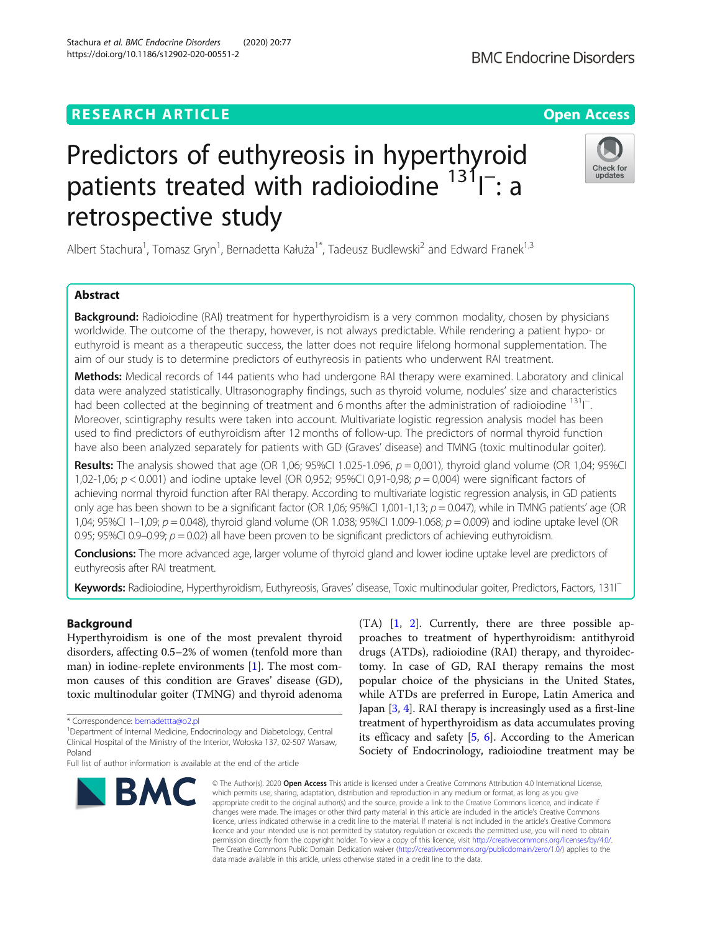# **RESEARCH ARTICLE Example 2014 12:30 The Contract of Contract ACCESS**

# Predictors of euthyreosis in hyperthyroid patients treated with radioiodine <sup>131</sup>I<sup>-</sup>: a retrospective study

Albert Stachura<sup>1</sup>, Tomasz Gryn<sup>1</sup>, Bernadetta Kałuża<sup>1\*</sup>, Tadeusz Budlewski<sup>2</sup> and Edward Franek<sup>1,3</sup>

# Abstract

**Background:** Radioiodine (RAI) treatment for hyperthyroidism is a very common modality, chosen by physicians worldwide. The outcome of the therapy, however, is not always predictable. While rendering a patient hypo- or euthyroid is meant as a therapeutic success, the latter does not require lifelong hormonal supplementation. The aim of our study is to determine predictors of euthyreosis in patients who underwent RAI treatment.

Methods: Medical records of 144 patients who had undergone RAI therapy were examined. Laboratory and clinical data were analyzed statistically. Ultrasonography findings, such as thyroid volume, nodules' size and characteristics had been collected at the beginning of treatment and 6 months after the administration of radioiodine <sup>131</sup>l<sup>-</sup> Moreover, scintigraphy results were taken into account. Multivariate logistic regression analysis model has been used to find predictors of euthyroidism after 12 months of follow-up. The predictors of normal thyroid function have also been analyzed separately for patients with GD (Graves' disease) and TMNG (toxic multinodular goiter).

Results: The analysis showed that age (OR 1,06; 95%CI 1.025-1.096,  $p = 0.001$ ), thyroid gland volume (OR 1,04; 95%CI 1,02-1,06;  $p < 0.001$ ) and iodine uptake level (OR 0,952; 95%CI 0,91-0,98;  $p = 0,004$ ) were significant factors of achieving normal thyroid function after RAI therapy. According to multivariate logistic regression analysis, in GD patients only age has been shown to be a significant factor (OR 1,06; 95%CI 1,001-1,13;  $p = 0.047$ ), while in TMNG patients' age (OR 1,04; 95%CI 1–1,09;  $p = 0.048$ ), thyroid gland volume (OR 1.038; 95%CI 1.009-1.068;  $p = 0.009$ ) and iodine uptake level (OR 0.95; 95%CI 0.9–0.99;  $p = 0.02$ ) all have been proven to be significant predictors of achieving euthyroidism.

Conclusions: The more advanced age, larger volume of thyroid gland and lower iodine uptake level are predictors of euthyreosis after RAI treatment.

Keywords: Radioiodine, Hyperthyroidism, Euthyreosis, Graves' disease, Toxic multinodular goiter, Predictors, Factors, 131I<sup>−</sup>

data made available in this article, unless otherwise stated in a credit line to the data.

# Background

Hyperthyroidism is one of the most prevalent thyroid disorders, affecting 0.5–2% of women (tenfold more than man) in iodine-replete environments [[1](#page-7-0)]. The most common causes of this condition are Graves' disease (GD), toxic multinodular goiter (TMNG) and thyroid adenoma

its efficacy and safety [\[5,](#page-7-0) [6\]](#page-7-0). According to the American Society of Endocrinology, radioiodine treatment may be © The Author(s), 2020 **Open Access** This article is licensed under a Creative Commons Attribution 4.0 International License, which permits use, sharing, adaptation, distribution and reproduction in any medium or format, as long as you give appropriate credit to the original author(s) and the source, provide a link to the Creative Commons licence, and indicate if changes were made. The images or other third party material in this article are included in the article's Creative Commons licence, unless indicated otherwise in a credit line to the material. If material is not included in the article's Creative Commons licence and your intended use is not permitted by statutory regulation or exceeds the permitted use, you will need to obtain permission directly from the copyright holder. To view a copy of this licence, visit [http://creativecommons.org/licenses/by/4.0/.](http://creativecommons.org/licenses/by/4.0/)

The Creative Commons Public Domain Dedication waiver [\(http://creativecommons.org/publicdomain/zero/1.0/](http://creativecommons.org/publicdomain/zero/1.0/)) applies to the

(TA) [\[1](#page-7-0), [2\]](#page-7-0). Currently, there are three possible approaches to treatment of hyperthyroidism: antithyroid drugs (ATDs), radioiodine (RAI) therapy, and thyroidectomy. In case of GD, RAI therapy remains the most popular choice of the physicians in the United States, while ATDs are preferred in Europe, Latin America and Japan [[3](#page-7-0), [4](#page-7-0)]. RAI therapy is increasingly used as a first-line treatment of hyperthyroidism as data accumulates proving





undates



<sup>\*</sup> Correspondence: [bernadettta@o2.pl](mailto:bernadettta@o2.pl) <sup>1</sup>

Department of Internal Medicine, Endocrinology and Diabetology, Central Clinical Hospital of the Ministry of the Interior, Wołoska 137, 02-507 Warsaw, Poland

Full list of author information is available at the end of the article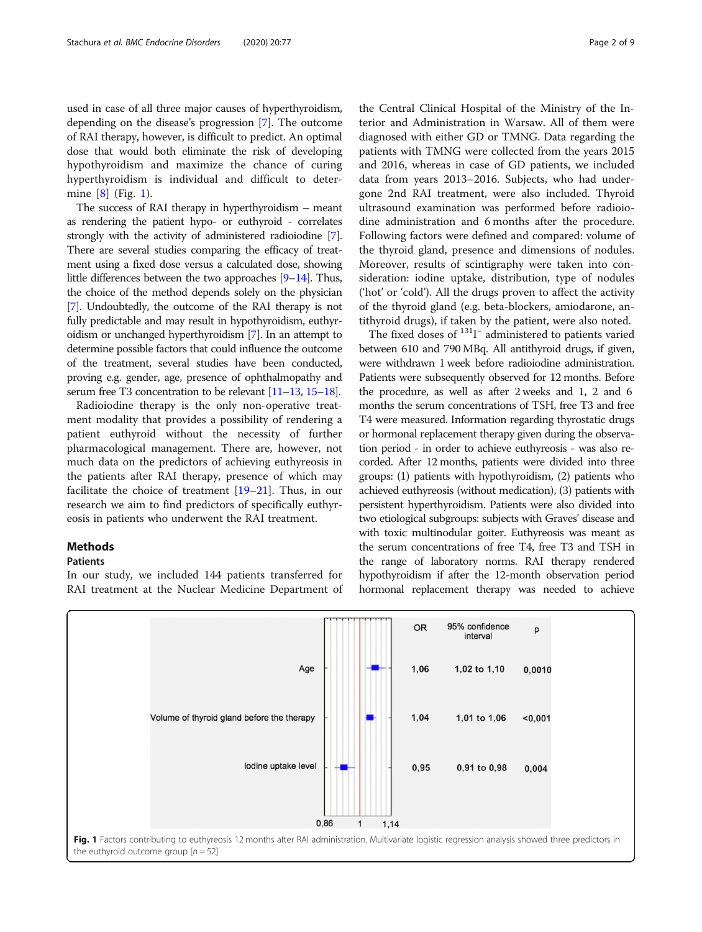used in case of all three major causes of hyperthyroidism, depending on the disease's progression [\[7](#page-7-0)]. The outcome of RAI therapy, however, is difficult to predict. An optimal dose that would both eliminate the risk of developing hypothyroidism and maximize the chance of curing hyperthyroidism is individual and difficult to determine [[8\]](#page-7-0) (Fig. 1).

The success of RAI therapy in hyperthyroidism – meant as rendering the patient hypo- or euthyroid - correlates strongly with the activity of administered radioiodine [[7](#page-7-0)]. There are several studies comparing the efficacy of treatment using a fixed dose versus a calculated dose, showing little differences between the two approaches [\[9](#page-7-0)–[14](#page-7-0)]. Thus, the choice of the method depends solely on the physician [[7](#page-7-0)]. Undoubtedly, the outcome of the RAI therapy is not fully predictable and may result in hypothyroidism, euthyroidism or unchanged hyperthyroidism [\[7\]](#page-7-0). In an attempt to determine possible factors that could influence the outcome of the treatment, several studies have been conducted, proving e.g. gender, age, presence of ophthalmopathy and serum free T3 concentration to be relevant [\[11](#page-7-0)–[13](#page-7-0), [15](#page-7-0)–[18](#page-7-0)].

Radioiodine therapy is the only non-operative treatment modality that provides a possibility of rendering a patient euthyroid without the necessity of further pharmacological management. There are, however, not much data on the predictors of achieving euthyreosis in the patients after RAI therapy, presence of which may facilitate the choice of treatment [\[19](#page-8-0)–[21\]](#page-8-0). Thus, in our research we aim to find predictors of specifically euthyreosis in patients who underwent the RAI treatment.

# Methods

# Patients

In our study, we included 144 patients transferred for RAI treatment at the Nuclear Medicine Department of

the Central Clinical Hospital of the Ministry of the Interior and Administration in Warsaw. All of them were diagnosed with either GD or TMNG. Data regarding the patients with TMNG were collected from the years 2015 and 2016, whereas in case of GD patients, we included data from years 2013–2016. Subjects, who had undergone 2nd RAI treatment, were also included. Thyroid ultrasound examination was performed before radioiodine administration and 6 months after the procedure. Following factors were defined and compared: volume of the thyroid gland, presence and dimensions of nodules. Moreover, results of scintigraphy were taken into consideration: iodine uptake, distribution, type of nodules ('hot' or 'cold'). All the drugs proven to affect the activity of the thyroid gland (e.g. beta-blockers, amiodarone, antithyroid drugs), if taken by the patient, were also noted.

The fixed doses of <sup>131</sup>I<sup>-</sup> administered to patients varied between 610 and 790 MBq. All antithyroid drugs, if given, were withdrawn 1 week before radioiodine administration. Patients were subsequently observed for 12 months. Before the procedure, as well as after 2 weeks and 1, 2 and 6 months the serum concentrations of TSH, free T3 and free T4 were measured. Information regarding thyrostatic drugs or hormonal replacement therapy given during the observation period - in order to achieve euthyreosis - was also recorded. After 12 months, patients were divided into three groups: (1) patients with hypothyroidism, (2) patients who achieved euthyreosis (without medication), (3) patients with persistent hyperthyroidism. Patients were also divided into two etiological subgroups: subjects with Graves' disease and with toxic multinodular goiter. Euthyreosis was meant as the serum concentrations of free T4, free T3 and TSH in the range of laboratory norms. RAI therapy rendered hypothyroidism if after the 12-month observation period hormonal replacement therapy was needed to achieve

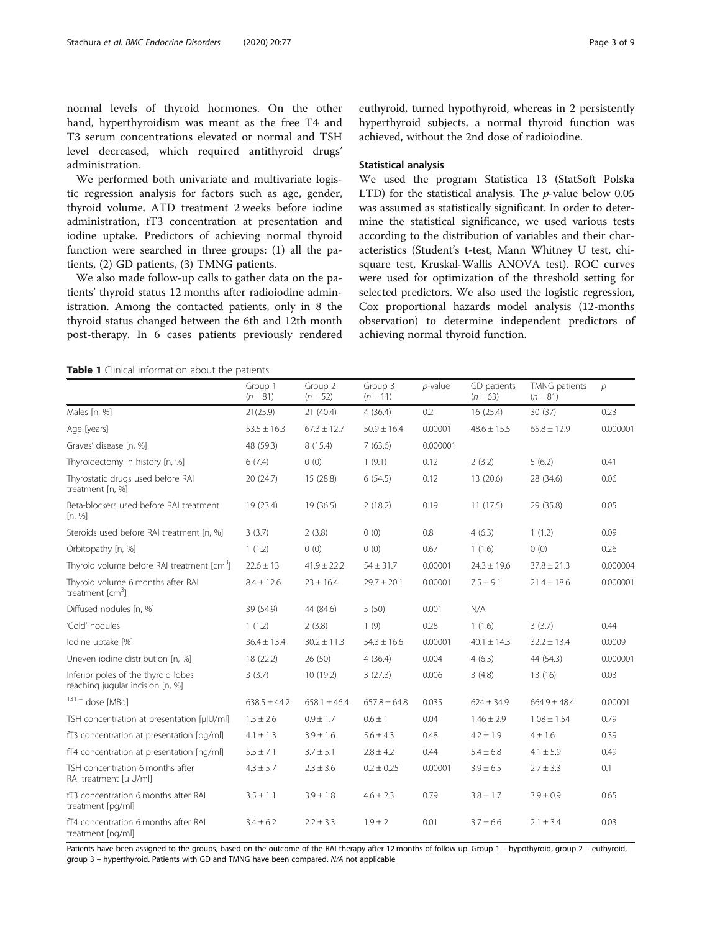<span id="page-2-0"></span>normal levels of thyroid hormones. On the other hand, hyperthyroidism was meant as the free T4 and T3 serum concentrations elevated or normal and TSH level decreased, which required antithyroid drugs' administration.

We performed both univariate and multivariate logistic regression analysis for factors such as age, gender, thyroid volume, ATD treatment 2 weeks before iodine administration, fT3 concentration at presentation and iodine uptake. Predictors of achieving normal thyroid function were searched in three groups: (1) all the patients, (2) GD patients, (3) TMNG patients.

We also made follow-up calls to gather data on the patients' thyroid status 12 months after radioiodine administration. Among the contacted patients, only in 8 the thyroid status changed between the 6th and 12th month post-therapy. In 6 cases patients previously rendered

euthyroid, turned hypothyroid, whereas in 2 persistently hyperthyroid subjects, a normal thyroid function was achieved, without the 2nd dose of radioiodine.

### Statistical analysis

We used the program Statistica 13 (StatSoft Polska LTD) for the statistical analysis. The  $p$ -value below 0.05 was assumed as statistically significant. In order to determine the statistical significance, we used various tests according to the distribution of variables and their characteristics (Student's t-test, Mann Whitney U test, chisquare test, Kruskal-Wallis ANOVA test). ROC curves were used for optimization of the threshold setting for selected predictors. We also used the logistic regression, Cox proportional hazards model analysis (12-months observation) to determine independent predictors of achieving normal thyroid function.

Table 1 Clinical information about the patients

|                                                                         | Group 1<br>$(n = 81)$ | Group 2<br>$(n=52)$ | Group 3<br>$(n=11)$ | $p$ -value | GD patients<br>$(n = 63)$ | TMNG patients<br>$(n = 81)$ | $\mathcal{D}$ |
|-------------------------------------------------------------------------|-----------------------|---------------------|---------------------|------------|---------------------------|-----------------------------|---------------|
| Males [n, %]                                                            | 21(25.9)              | 21(40.4)            | 4(36.4)             | 0.2        | 16(25.4)                  | 30(37)                      | 0.23          |
| Age [years]                                                             | $53.5 \pm 16.3$       | $67.3 \pm 12.7$     | $50.9 \pm 16.4$     | 0.00001    | $48.6 \pm 15.5$           | $65.8 \pm 12.9$             | 0.000001      |
| Graves' disease [n, %]                                                  | 48 (59.3)             | 8(15.4)             | 7(63.6)             | 0.000001   |                           |                             |               |
| Thyroidectomy in history [n, %]                                         | 6(7.4)                | 0(0)                | 1(9.1)              | 0.12       | 2(3.2)                    | 5(6.2)                      | 0.41          |
| Thyrostatic drugs used before RAI<br>treatment [n, %]                   | 20(24.7)              | 15 (28.8)           | 6(54.5)             | 0.12       | 13(20.6)                  | 28 (34.6)                   | 0.06          |
| Beta-blockers used before RAI treatment<br>[n, %]                       | 19 (23.4)             | 19(36.5)            | 2(18.2)             | 0.19       | 11(17.5)                  | 29 (35.8)                   | 0.05          |
| Steroids used before RAI treatment [n, %]                               | 3(3.7)                | 2(3.8)              | 0(0)                | 0.8        | 4(6.3)                    | 1(1.2)                      | 0.09          |
| Orbitopathy [n, %]                                                      | 1(1.2)                | 0(0)                | 0(0)                | 0.67       | 1(1.6)                    | 0(0)                        | 0.26          |
| Thyroid volume before RAI treatment [cm <sup>3</sup> ]                  | $22.6 \pm 13$         | $41.9 \pm 22.2$     | $54 \pm 31.7$       | 0.00001    | $24.3 \pm 19.6$           | $37.8 \pm 21.3$             | 0.000004      |
| Thyroid volume 6 months after RAI<br>treatment [cm <sup>3</sup> ]       | $8.4 \pm 12.6$        | $23 \pm 16.4$       | $29.7 \pm 20.1$     | 0.00001    | $7.5 \pm 9.1$             | $21.4 \pm 18.6$             | 0.000001      |
| Diffused nodules [n, %]                                                 | 39 (54.9)             | 44 (84.6)           | 5(50)               | 0.001      | N/A                       |                             |               |
| 'Cold' nodules                                                          | 1(1.2)                | 2(3.8)              | 1(9)                | 0.28       | 1(1.6)                    | 3(3.7)                      | 0.44          |
| lodine uptake [%]                                                       | $36.4 \pm 13.4$       | $30.2 \pm 11.3$     | $54.3 \pm 16.6$     | 0.00001    | $40.1 \pm 14.3$           | $32.2 \pm 13.4$             | 0.0009        |
| Uneven iodine distribution [n, %]                                       | 18 (22.2)             | 26(50)              | 4(36.4)             | 0.004      | 4(6.3)                    | 44 (54.3)                   | 0.000001      |
| Inferior poles of the thyroid lobes<br>reaching jugular incision [n, %] | 3(3.7)                | 10 (19.2)           | 3(27.3)             | 0.006      | 3(4.8)                    | 13(16)                      | 0.03          |
| $131$   dose [MBq]                                                      | $638.5 \pm 44.2$      | $658.1 \pm 46.4$    | $657.8 \pm 64.8$    | 0.035      | $624 \pm 34.9$            | $664.9 \pm 48.4$            | 0.00001       |
| TSH concentration at presentation [µlU/ml]                              | $1.5 \pm 2.6$         | $0.9 \pm 1.7$       | $0.6 \pm 1$         | 0.04       | $1.46 \pm 2.9$            | $1.08 \pm 1.54$             | 0.79          |
| fT3 concentration at presentation [pq/ml]                               | $4.1 \pm 1.3$         | $3.9 \pm 1.6$       | $5.6 \pm 4.3$       | 0.48       | $4.2 \pm 1.9$             | $4 \pm 1.6$                 | 0.39          |
| fT4 concentration at presentation [ng/ml]                               | $5.5 \pm 7.1$         | $3.7 \pm 5.1$       | $2.8 \pm 4.2$       | 0.44       | $5.4 \pm 6.8$             | $4.1 \pm 5.9$               | 0.49          |
| TSH concentration 6 months after<br>RAI treatment [µlU/ml]              | $4.3 \pm 5.7$         | $2.3 \pm 3.6$       | $0.2 \pm 0.25$      | 0.00001    | $3.9 \pm 6.5$             | $2.7 \pm 3.3$               | 0.1           |
| fT3 concentration 6 months after RAI<br>treatment [pq/ml]               | $3.5 \pm 1.1$         | $3.9 \pm 1.8$       | $4.6 \pm 2.3$       | 0.79       | $3.8 \pm 1.7$             | $3.9 \pm 0.9$               | 0.65          |
| fT4 concentration 6 months after RAI<br>treatment [ng/ml]               | $3.4 \pm 6.2$         | $2.2 \pm 3.3$       | $1.9 \pm 2$         | 0.01       | $3.7 \pm 6.6$             | $2.1 \pm 3.4$               | 0.03          |

Patients have been assigned to the groups, based on the outcome of the RAI therapy after 12 months of follow-up. Group 1 – hypothyroid, group 2 – euthyroid, group 3 – hyperthyroid. Patients with GD and TMNG have been compared. N/A not applicable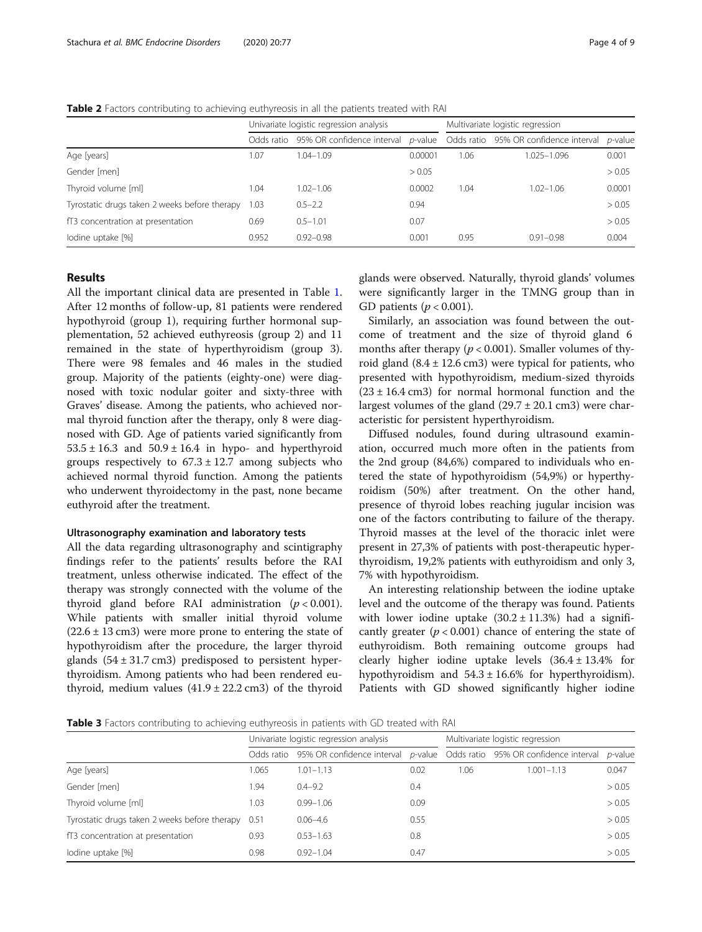<span id="page-3-0"></span>Table 2 Factors contributing to achieving euthyreosis in all the patients treated with RAI

|                                               | Univariate logistic regression analysis |                            |                 | Multivariate logistic regression |                                       |            |  |
|-----------------------------------------------|-----------------------------------------|----------------------------|-----------------|----------------------------------|---------------------------------------|------------|--|
|                                               | Odds ratio                              | 95% OR confidence interval | <i>p</i> -value |                                  | Odds ratio 95% OR confidence interval | $p$ -value |  |
| Age [years]                                   | 1.07                                    | $1.04 - 1.09$              | 0.00001         | 1.06                             | 1.025-1.096                           | 0.001      |  |
| Gender [men]                                  |                                         |                            | > 0.05          |                                  |                                       | > 0.05     |  |
| Thyroid volume [ml]                           | 1.04                                    | $1.02 - 1.06$              | 0.0002          | 1.04                             | $1.02 - 1.06$                         | 0.0001     |  |
| Tyrostatic drugs taken 2 weeks before therapy | 1.03                                    | $0.5 - 2.2$                | 0.94            |                                  |                                       | > 0.05     |  |
| fT3 concentration at presentation             | 0.69                                    | $0.5 - 1.01$               | 0.07            |                                  |                                       | > 0.05     |  |
| lodine uptake [%]                             | 0.952                                   | $0.92 - 0.98$              | 0.001           | 0.95                             | $0.91 - 0.98$                         | 0.004      |  |

## Results

All the important clinical data are presented in Table [1](#page-2-0). After 12 months of follow-up, 81 patients were rendered hypothyroid (group 1), requiring further hormonal supplementation, 52 achieved euthyreosis (group 2) and 11 remained in the state of hyperthyroidism (group 3). There were 98 females and 46 males in the studied group. Majority of the patients (eighty-one) were diagnosed with toxic nodular goiter and sixty-three with Graves' disease. Among the patients, who achieved normal thyroid function after the therapy, only 8 were diagnosed with GD. Age of patients varied significantly from  $53.5 \pm 16.3$  and  $50.9 \pm 16.4$  in hypo- and hyperthyroid groups respectively to  $67.3 \pm 12.7$  among subjects who achieved normal thyroid function. Among the patients who underwent thyroidectomy in the past, none became euthyroid after the treatment.

#### Ultrasonography examination and laboratory tests

All the data regarding ultrasonography and scintigraphy findings refer to the patients' results before the RAI treatment, unless otherwise indicated. The effect of the therapy was strongly connected with the volume of the thyroid gland before RAI administration  $(p < 0.001)$ . While patients with smaller initial thyroid volume  $(22.6 \pm 13 \text{ cm})$  were more prone to entering the state of hypothyroidism after the procedure, the larger thyroid glands  $(54 \pm 31.7 \text{ cm}^3)$  predisposed to persistent hyperthyroidism. Among patients who had been rendered euthyroid, medium values  $(41.9 \pm 22.2 \text{ cm}^3)$  of the thyroid

glands were observed. Naturally, thyroid glands' volumes were significantly larger in the TMNG group than in GD patients ( $p < 0.001$ ).

Similarly, an association was found between the outcome of treatment and the size of thyroid gland 6 months after therapy ( $p < 0.001$ ). Smaller volumes of thyroid gland  $(8.4 \pm 12.6 \text{ cm}^3)$  were typical for patients, who presented with hypothyroidism, medium-sized thyroids  $(23 \pm 16.4 \text{ cm}^3)$  for normal hormonal function and the largest volumes of the gland  $(29.7 \pm 20.1 \text{ cm}^2)$  were characteristic for persistent hyperthyroidism.

Diffused nodules, found during ultrasound examination, occurred much more often in the patients from the 2nd group (84,6%) compared to individuals who entered the state of hypothyroidism (54,9%) or hyperthyroidism (50%) after treatment. On the other hand, presence of thyroid lobes reaching jugular incision was one of the factors contributing to failure of the therapy. Thyroid masses at the level of the thoracic inlet were present in 27,3% of patients with post-therapeutic hyperthyroidism, 19,2% patients with euthyroidism and only 3, 7% with hypothyroidism.

An interesting relationship between the iodine uptake level and the outcome of the therapy was found. Patients with lower iodine uptake  $(30.2 \pm 11.3\%)$  had a significantly greater ( $p < 0.001$ ) chance of entering the state of euthyroidism. Both remaining outcome groups had clearly higher iodine uptake levels  $(36.4 \pm 13.4\%)$  for hypothyroidism and  $54.3 \pm 16.6\%$  for hyperthyroidism). Patients with GD showed significantly higher iodine

Table 3 Factors contributing to achieving euthyreosis in patients with GD treated with RAI

|                                                    | Univariate logistic regression analysis |                                                                          |      | Multivariate logistic regression |                |            |  |
|----------------------------------------------------|-----------------------------------------|--------------------------------------------------------------------------|------|----------------------------------|----------------|------------|--|
|                                                    | Odds ratio                              | 95% OR confidence interval p-value Odds ratio 95% OR confidence interval |      |                                  |                | $p$ -value |  |
| Age [years]                                        | .065                                    | $1.01 - 1.13$                                                            | 0.02 | 1.06                             | $1.001 - 1.13$ | 0.047      |  |
| Gender [men]                                       | 1.94                                    | $0.4 - 9.2$                                                              | 0.4  |                                  |                | > 0.05     |  |
| Thyroid volume [ml]                                | 1.03                                    | $0.99 - 1.06$                                                            | 0.09 |                                  |                | > 0.05     |  |
| Tyrostatic drugs taken 2 weeks before therapy 0.51 |                                         | $0.06 - 4.6$                                                             | 0.55 |                                  |                | > 0.05     |  |
| fT3 concentration at presentation                  | 0.93                                    | $0.53 - 1.63$                                                            | 0.8  |                                  |                | > 0.05     |  |
| lodine uptake [%]                                  | 0.98                                    | $0.92 - 1.04$                                                            | 0.47 |                                  |                | > 0.05     |  |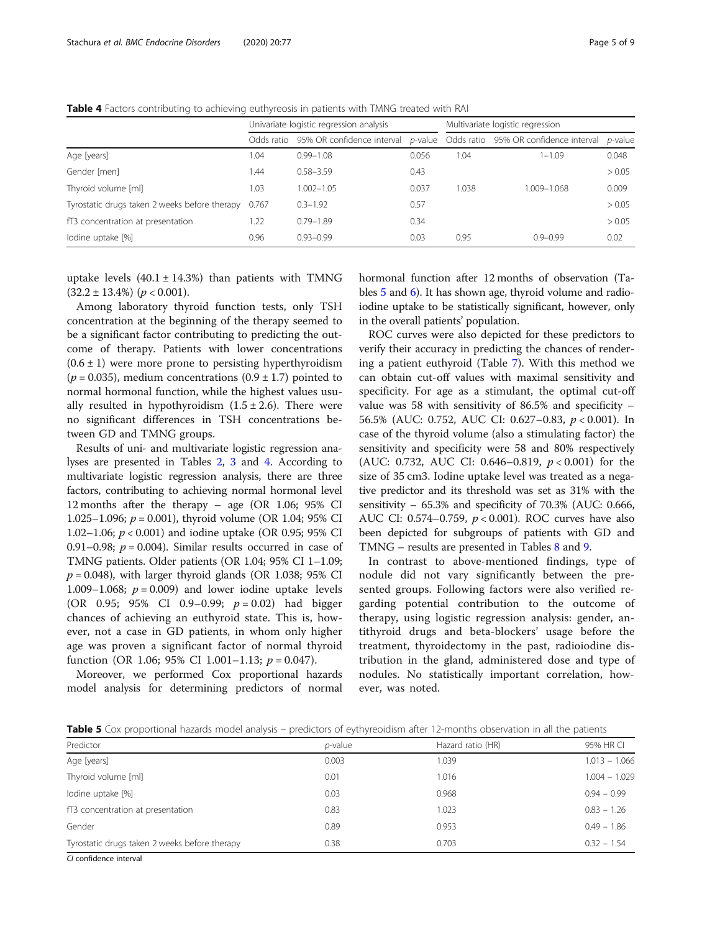Table 4 Factors contributing to achieving euthyreosis in patients with TMNG treated with RAI

|                                                     |            | Univariate logistic regression analysis | Multivariate logistic regression |       |                                                                          |                 |
|-----------------------------------------------------|------------|-----------------------------------------|----------------------------------|-------|--------------------------------------------------------------------------|-----------------|
|                                                     | Odds ratio |                                         |                                  |       | 95% OR confidence interval p-value Odds ratio 95% OR confidence interval | <i>p</i> -value |
| Age [years]                                         | 1.04       | $0.99 - 1.08$                           | 0.056                            | 1.04  | $1 - 1.09$                                                               | 0.048           |
| Gender [men]                                        | .44        | $0.58 - 3.59$                           | 0.43                             |       |                                                                          | > 0.05          |
| Thyroid volume [ml]                                 | 1.03       | $1.002 - 1.05$                          | 0.037                            | 1.038 | 1.009-1.068                                                              | 0.009           |
| Tyrostatic drugs taken 2 weeks before therapy 0.767 |            | $0.3 - 1.92$                            | 0.57                             |       |                                                                          | > 0.05          |
| fT3 concentration at presentation                   | .22        | $0.79 - 1.89$                           | 0.34                             |       |                                                                          | > 0.05          |
| lodine uptake [%]                                   | 0.96       | $0.93 - 0.99$                           | 0.03                             | 0.95  | $0.9 - 0.99$                                                             | 0.02            |

uptake levels  $(40.1 \pm 14.3%)$  than patients with TMNG  $(32.2 \pm 13.4\%)$   $(p < 0.001)$ .

Among laboratory thyroid function tests, only TSH concentration at the beginning of the therapy seemed to be a significant factor contributing to predicting the outcome of therapy. Patients with lower concentrations  $(0.6 \pm 1)$  were more prone to persisting hyperthyroidism ( $p = 0.035$ ), medium concentrations (0.9  $\pm$  1.7) pointed to normal hormonal function, while the highest values usually resulted in hypothyroidism  $(1.5 \pm 2.6)$ . There were no significant differences in TSH concentrations between GD and TMNG groups.

Results of uni- and multivariate logistic regression analyses are presented in Tables [2,](#page-3-0) [3](#page-3-0) and 4. According to multivariate logistic regression analysis, there are three factors, contributing to achieving normal hormonal level 12 months after the therapy – age (OR 1.06; 95% CI 1.025–1.096;  $p = 0.001$ ), thyroid volume (OR 1.04; 95% CI 1.02–1.06; p < 0.001) and iodine uptake (OR 0.95; 95% CI 0.91–0.98;  $p = 0.004$ ). Similar results occurred in case of TMNG patients. Older patients (OR 1.04; 95% CI 1–1.09;  $p = 0.048$ ), with larger thyroid glands (OR 1.038; 95% CI 1.009–1.068;  $p = 0.009$ ) and lower iodine uptake levels (OR 0.95; 95% CI 0.9-0.99;  $p = 0.02$ ) had bigger chances of achieving an euthyroid state. This is, however, not a case in GD patients, in whom only higher age was proven a significant factor of normal thyroid function (OR 1.06; 95% CI 1.001–1.13;  $p = 0.047$ ).

Moreover, we performed Cox proportional hazards model analysis for determining predictors of normal hormonal function after 12 months of observation (Tables 5 and [6](#page-5-0)). It has shown age, thyroid volume and radioiodine uptake to be statistically significant, however, only in the overall patients' population.

ROC curves were also depicted for these predictors to verify their accuracy in predicting the chances of rendering a patient euthyroid (Table [7\)](#page-5-0). With this method we can obtain cut-off values with maximal sensitivity and specificity. For age as a stimulant, the optimal cut-off value was 58 with sensitivity of 86.5% and specificity – 56.5% (AUC: 0.752, AUC CI: 0.627–0.83, p < 0.001). In case of the thyroid volume (also a stimulating factor) the sensitivity and specificity were 58 and 80% respectively (AUC: 0.732, AUC CI: 0.646–0.819,  $p < 0.001$ ) for the size of 35 cm3. Iodine uptake level was treated as a negative predictor and its threshold was set as 31% with the sensitivity – 65.3% and specificity of 70.3% (AUC: 0.666, AUC CI: 0.574-0.759,  $p < 0.001$ ). ROC curves have also been depicted for subgroups of patients with GD and TMNG – results are presented in Tables [8](#page-6-0) and [9.](#page-6-0)

In contrast to above-mentioned findings, type of nodule did not vary significantly between the presented groups. Following factors were also verified regarding potential contribution to the outcome of therapy, using logistic regression analysis: gender, antithyroid drugs and beta-blockers' usage before the treatment, thyroidectomy in the past, radioiodine distribution in the gland, administered dose and type of nodules. No statistically important correlation, however, was noted.

Table 5 Cox proportional hazards model analysis – predictors of eythyreoidism after 12-months observation in all the patients

| Predictor                                     | <i>p</i> -value | Hazard ratio (HR) | 95% HR CI       |
|-----------------------------------------------|-----------------|-------------------|-----------------|
| Age [years]                                   | 0.003           | 1.039             | $1.013 - 1.066$ |
| Thyroid volume [ml]                           | 0.01            | 1.016             | $1.004 - 1.029$ |
| lodine uptake [%]                             | 0.03            | 0.968             | $0.94 - 0.99$   |
| fT3 concentration at presentation             | 0.83            | 1.023             | $0.83 - 1.26$   |
| Gender                                        | 0.89            | 0.953             | $0.49 - 1.86$   |
| Tyrostatic drugs taken 2 weeks before therapy | 0.38            | 0.703             | $0.32 - 1.54$   |
|                                               |                 |                   |                 |

CI confidence interval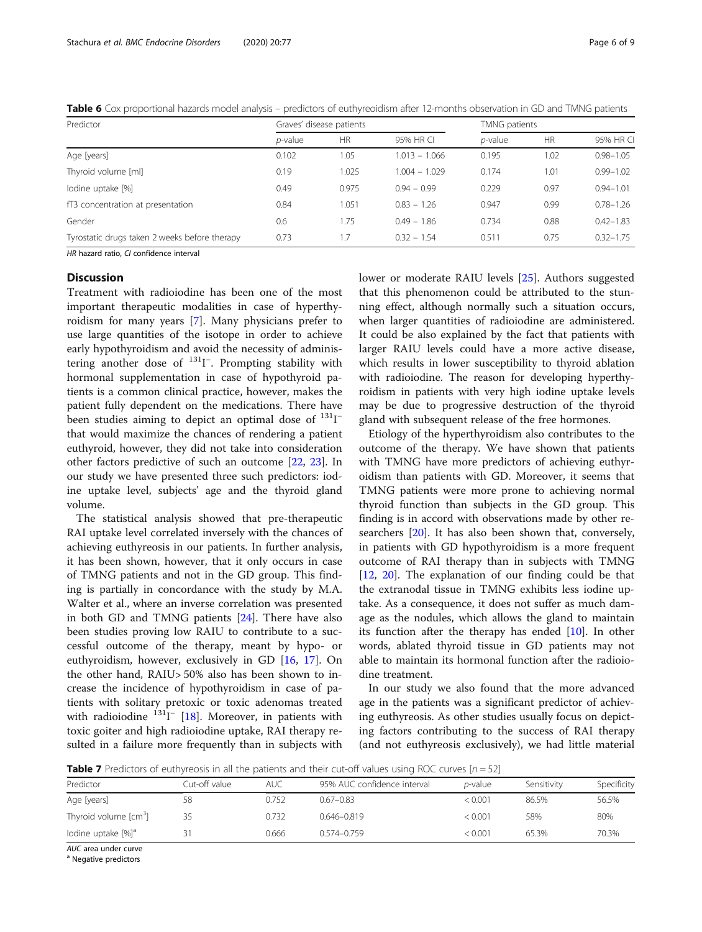<span id="page-5-0"></span>

|  |  |  | <b>Table 6</b> Cox proportional hazards model analysis – predictors of euthyreoidism after 12-months observation in GD and TMNG patients |  |  |  |  |  |
|--|--|--|------------------------------------------------------------------------------------------------------------------------------------------|--|--|--|--|--|
|--|--|--|------------------------------------------------------------------------------------------------------------------------------------------|--|--|--|--|--|

| Predictor                                     | Graves' disease patients |           | TMNG patients   |            |           |               |
|-----------------------------------------------|--------------------------|-----------|-----------------|------------|-----------|---------------|
|                                               | <i>p</i> -value          | <b>HR</b> | 95% HR CI       | $p$ -value | <b>HR</b> | 95% HR CI     |
| Age [years]                                   | 0.102                    | 1.05      | $1.013 - 1.066$ | 0.195      | 1.02      | $0.98 - 1.05$ |
| Thyroid volume [ml]                           | 0.19                     | 1.025     | $1.004 - 1.029$ | 0.174      | 1.01      | $0.99 - 1.02$ |
| lodine uptake [%]                             | 0.49                     | 0.975     | $0.94 - 0.99$   | 0.229      | 0.97      | $0.94 - 1.01$ |
| fT3 concentration at presentation             | 0.84                     | 1.051     | $0.83 - 1.26$   | 0.947      | 0.99      | $0.78 - 1.26$ |
| Gender                                        | 0.6                      | 1.75      | $0.49 - 1.86$   | 0.734      | 0.88      | $0.42 - 1.83$ |
| Tyrostatic drugs taken 2 weeks before therapy | 0.73                     |           | $0.32 - 1.54$   | 0.511      | 0.75      | $0.32 - 1.75$ |

HR hazard ratio, CI confidence interval

#### **Discussion**

Treatment with radioiodine has been one of the most important therapeutic modalities in case of hyperthyroidism for many years [\[7](#page-7-0)]. Many physicians prefer to use large quantities of the isotope in order to achieve early hypothyroidism and avoid the necessity of administering another dose of <sup>131</sup>I<sup>-</sup>. Prompting stability with hormonal supplementation in case of hypothyroid patients is a common clinical practice, however, makes the patient fully dependent on the medications. There have been studies aiming to depict an optimal dose of <sup>131</sup>I<sup>-</sup> that would maximize the chances of rendering a patient euthyroid, however, they did not take into consideration other factors predictive of such an outcome [\[22](#page-8-0), [23\]](#page-8-0). In our study we have presented three such predictors: iodine uptake level, subjects' age and the thyroid gland volume.

The statistical analysis showed that pre-therapeutic RAI uptake level correlated inversely with the chances of achieving euthyreosis in our patients. In further analysis, it has been shown, however, that it only occurs in case of TMNG patients and not in the GD group. This finding is partially in concordance with the study by M.A. Walter et al., where an inverse correlation was presented in both GD and TMNG patients [[24\]](#page-8-0). There have also been studies proving low RAIU to contribute to a successful outcome of the therapy, meant by hypo- or euthyroidism, however, exclusively in GD [\[16,](#page-7-0) [17\]](#page-7-0). On the other hand, RAIU> 50% also has been shown to increase the incidence of hypothyroidism in case of patients with solitary pretoxic or toxic adenomas treated with radioiodine <sup>131</sup>I<sup>-</sup> [[18](#page-7-0)]. Moreover, in patients with toxic goiter and high radioiodine uptake, RAI therapy resulted in a failure more frequently than in subjects with lower or moderate RAIU levels [[25\]](#page-8-0). Authors suggested that this phenomenon could be attributed to the stunning effect, although normally such a situation occurs, when larger quantities of radioiodine are administered. It could be also explained by the fact that patients with larger RAIU levels could have a more active disease, which results in lower susceptibility to thyroid ablation with radioiodine. The reason for developing hyperthyroidism in patients with very high iodine uptake levels may be due to progressive destruction of the thyroid gland with subsequent release of the free hormones.

Etiology of the hyperthyroidism also contributes to the outcome of the therapy. We have shown that patients with TMNG have more predictors of achieving euthyroidism than patients with GD. Moreover, it seems that TMNG patients were more prone to achieving normal thyroid function than subjects in the GD group. This finding is in accord with observations made by other researchers [[20\]](#page-8-0). It has also been shown that, conversely, in patients with GD hypothyroidism is a more frequent outcome of RAI therapy than in subjects with TMNG [[12,](#page-7-0) [20](#page-8-0)]. The explanation of our finding could be that the extranodal tissue in TMNG exhibits less iodine uptake. As a consequence, it does not suffer as much damage as the nodules, which allows the gland to maintain its function after the therapy has ended [[10\]](#page-7-0). In other words, ablated thyroid tissue in GD patients may not able to maintain its hormonal function after the radioiodine treatment.

In our study we also found that the more advanced age in the patients was a significant predictor of achieving euthyreosis. As other studies usually focus on depicting factors contributing to the success of RAI therapy (and not euthyreosis exclusively), we had little material

**Table 7** Predictors of euthyreosis in all the patients and their cut-off values using ROC curves  $[n = 52]$ 

| Predictor                         | Cut-off value | AUC.  | 95% AUC confidence interval | <i>p</i> -value | Sensitivity | Specificity |
|-----------------------------------|---------------|-------|-----------------------------|-----------------|-------------|-------------|
| Age [years]                       | 58            | 0.752 | $0.67 - 0.83$               | < 0.001         | 86.5%       | 56.5%       |
| Thyroid volume [cm <sup>3</sup> ] | 35            | 0.732 | $0.646 - 0.819$             | < 0.001         | 58%         | 80%         |
| lodine uptake [%] <sup>a</sup>    |               | 0.666 | $0.574 - 0.759$             | < 0.001         | 65.3%       | 70.3%       |

AUC area under curve<br><sup>a</sup> Negative predictors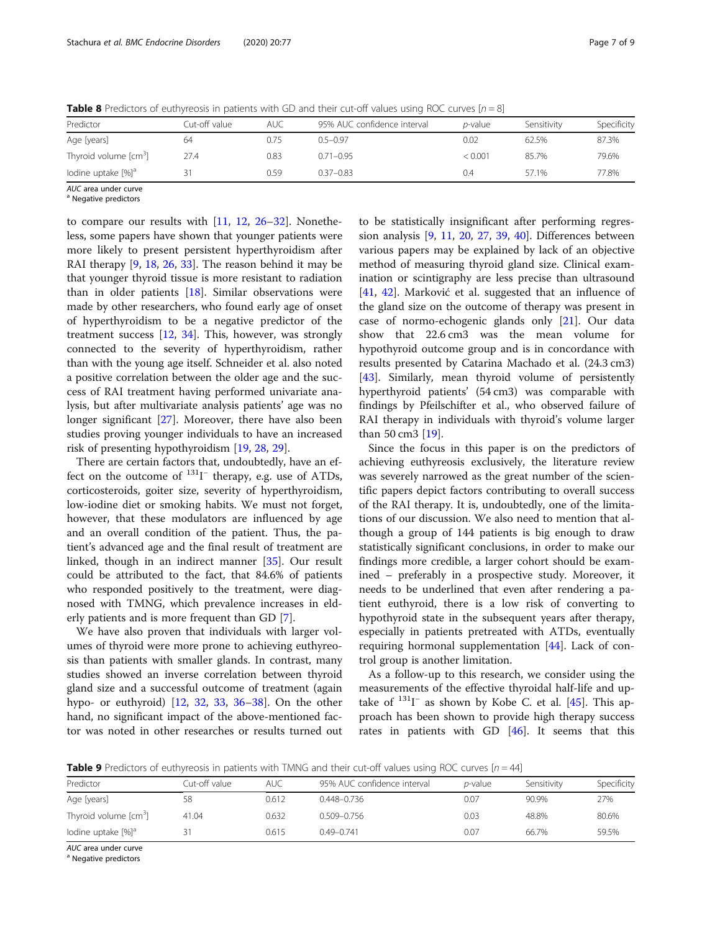<span id="page-6-0"></span>**Table 8** Predictors of euthyreosis in patients with GD and their cut-off values using ROC curves  $[n = 8]$ 

| Predictor                         | Cut-off value | AUC. | 95% AUC confidence interval | <i>p</i> -value | Sensitivity | Specificity |
|-----------------------------------|---------------|------|-----------------------------|-----------------|-------------|-------------|
| Age [years]                       | 64            | 0.75 | $0.5 - 0.97$                | 0.02            | 62.5%       | 87.3%       |
| Thyroid volume [cm <sup>3</sup> ] | 27.4          | 0.83 | $0.71 - 0.95$               | < 0.001         | 85.7%       | 79.6%       |
| lodine uptake [%] <sup>a</sup>    | 31            | 0.59 | $0.37 - 0.83$               | 0.4             | 57.1%       | 77.8%       |

 $AUC$  area under curve<br><sup>a</sup> Negative predictors

to compare our results with  $[11, 12, 26-32]$  $[11, 12, 26-32]$  $[11, 12, 26-32]$  $[11, 12, 26-32]$  $[11, 12, 26-32]$  $[11, 12, 26-32]$  $[11, 12, 26-32]$  $[11, 12, 26-32]$  $[11, 12, 26-32]$ . Nonetheless, some papers have shown that younger patients were more likely to present persistent hyperthyroidism after RAI therapy [[9,](#page-7-0) [18,](#page-7-0) [26](#page-8-0), [33](#page-8-0)]. The reason behind it may be that younger thyroid tissue is more resistant to radiation than in older patients  $[18]$  $[18]$ . Similar observations were made by other researchers, who found early age of onset of hyperthyroidism to be a negative predictor of the treatment success [\[12,](#page-7-0) [34\]](#page-8-0). This, however, was strongly connected to the severity of hyperthyroidism, rather than with the young age itself. Schneider et al. also noted a positive correlation between the older age and the success of RAI treatment having performed univariate analysis, but after multivariate analysis patients' age was no longer significant [\[27](#page-8-0)]. Moreover, there have also been studies proving younger individuals to have an increased risk of presenting hypothyroidism [\[19](#page-8-0), [28](#page-8-0), [29\]](#page-8-0).

There are certain factors that, undoubtedly, have an effect on the outcome of <sup>131</sup>I<sup>-</sup> therapy, e.g. use of ATDs, corticosteroids, goiter size, severity of hyperthyroidism, low-iodine diet or smoking habits. We must not forget, however, that these modulators are influenced by age and an overall condition of the patient. Thus, the patient's advanced age and the final result of treatment are linked, though in an indirect manner [\[35\]](#page-8-0). Our result could be attributed to the fact, that 84.6% of patients who responded positively to the treatment, were diagnosed with TMNG, which prevalence increases in elderly patients and is more frequent than GD [\[7](#page-7-0)].

We have also proven that individuals with larger volumes of thyroid were more prone to achieving euthyreosis than patients with smaller glands. In contrast, many studies showed an inverse correlation between thyroid gland size and a successful outcome of treatment (again hypo- or euthyroid) [\[12](#page-7-0), [32,](#page-8-0) [33](#page-8-0), [36](#page-8-0)–[38\]](#page-8-0). On the other hand, no significant impact of the above-mentioned factor was noted in other researches or results turned out

to be statistically insignificant after performing regression analysis [\[9](#page-7-0), [11,](#page-7-0) [20](#page-8-0), [27](#page-8-0), [39,](#page-8-0) [40](#page-8-0)]. Differences between various papers may be explained by lack of an objective method of measuring thyroid gland size. Clinical examination or scintigraphy are less precise than ultrasound [[41,](#page-8-0) [42\]](#page-8-0). Marković et al. suggested that an influence of the gland size on the outcome of therapy was present in case of normo-echogenic glands only [[21\]](#page-8-0). Our data show that 22.6 cm3 was the mean volume for hypothyroid outcome group and is in concordance with results presented by Catarina Machado et al. (24.3 cm3) [[43\]](#page-8-0). Similarly, mean thyroid volume of persistently hyperthyroid patients' (54 cm3) was comparable with findings by Pfeilschifter et al., who observed failure of RAI therapy in individuals with thyroid's volume larger than 50 cm3 [\[19](#page-8-0)].

Since the focus in this paper is on the predictors of achieving euthyreosis exclusively, the literature review was severely narrowed as the great number of the scientific papers depict factors contributing to overall success of the RAI therapy. It is, undoubtedly, one of the limitations of our discussion. We also need to mention that although a group of 144 patients is big enough to draw statistically significant conclusions, in order to make our findings more credible, a larger cohort should be examined – preferably in a prospective study. Moreover, it needs to be underlined that even after rendering a patient euthyroid, there is a low risk of converting to hypothyroid state in the subsequent years after therapy, especially in patients pretreated with ATDs, eventually requiring hormonal supplementation [[44](#page-8-0)]. Lack of control group is another limitation.

As a follow-up to this research, we consider using the measurements of the effective thyroidal half-life and uptake of  $^{131}$ I<sup>-</sup> as shown by Kobe C. et al. [[45\]](#page-8-0). This approach has been shown to provide high therapy success rates in patients with GD [\[46\]](#page-8-0). It seems that this

**Table 9** Predictors of euthyreosis in patients with TMNG and their cut-off values using ROC curves  $[n = 44]$ 

| <b>TWIND P</b> IT CONCEDIUS OF CONTINUOUS IN PONCETICS THAT THING ONLY CHEMICAL ON TOROGO OSITION THOUGH ON THE THIS |               |       |                             |                 |             |             |  |
|----------------------------------------------------------------------------------------------------------------------|---------------|-------|-----------------------------|-----------------|-------------|-------------|--|
| Predictor                                                                                                            | Cut-off value | AUC-  | 95% AUC confidence interval | <i>p</i> -value | Sensitivity | Specificity |  |
| Age [years]                                                                                                          | 58            | 0.612 | $0.448 - 0.736$             | 0.07            | 90.9%       | 27%         |  |
| Thyroid volume [cm <sup>3</sup> ]                                                                                    | 41.04         | 0.632 | $0.509 - 0.756$             | 0.03            | 48.8%       | 80.6%       |  |
| lodine uptake [%] <sup>a</sup>                                                                                       |               | 0.615 | $0.49 - 0.741$              | 0.07            | 66.7%       | 59.5%       |  |

 $AUC$  area under curve<br><sup>a</sup> Negative predictors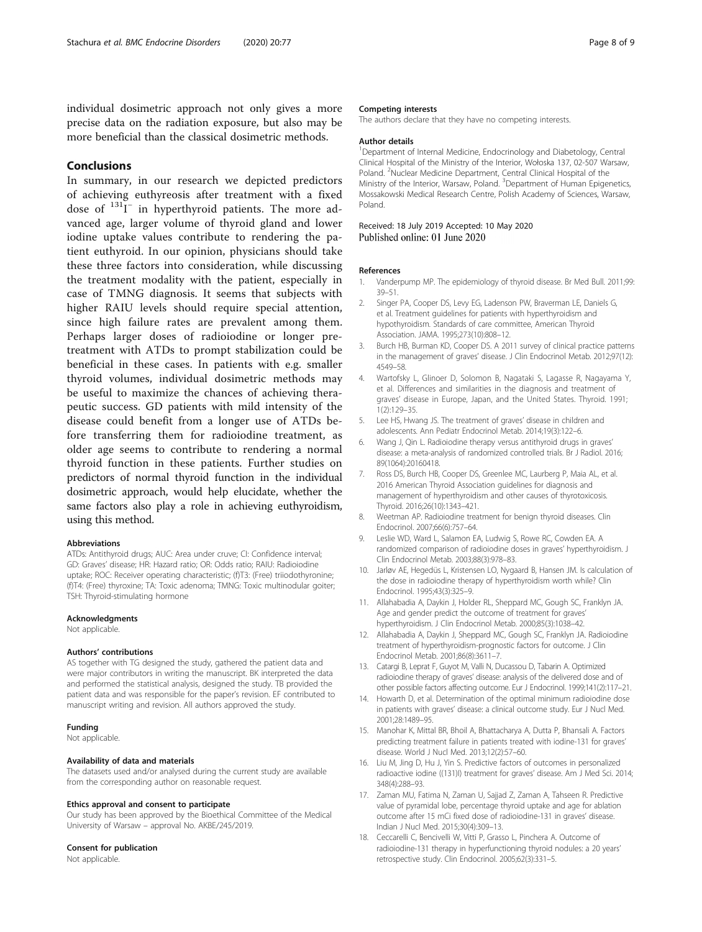<span id="page-7-0"></span>individual dosimetric approach not only gives a more precise data on the radiation exposure, but also may be more beneficial than the classical dosimetric methods.

# Conclusions

In summary, in our research we depicted predictors of achieving euthyreosis after treatment with a fixed dose of <sup>131</sup>I<sup>-</sup> in hyperthyroid patients. The more advanced age, larger volume of thyroid gland and lower iodine uptake values contribute to rendering the patient euthyroid. In our opinion, physicians should take these three factors into consideration, while discussing the treatment modality with the patient, especially in case of TMNG diagnosis. It seems that subjects with higher RAIU levels should require special attention, since high failure rates are prevalent among them. Perhaps larger doses of radioiodine or longer pretreatment with ATDs to prompt stabilization could be beneficial in these cases. In patients with e.g. smaller thyroid volumes, individual dosimetric methods may be useful to maximize the chances of achieving therapeutic success. GD patients with mild intensity of the disease could benefit from a longer use of ATDs before transferring them for radioiodine treatment, as older age seems to contribute to rendering a normal thyroid function in these patients. Further studies on predictors of normal thyroid function in the individual dosimetric approach, would help elucidate, whether the same factors also play a role in achieving euthyroidism, using this method.

#### Abbreviations

ATDs: Antithyroid drugs; AUC: Area under cruve; CI: Confidence interval; GD: Graves' disease; HR: Hazard ratio; OR: Odds ratio; RAIU: Radioiodine uptake; ROC: Receiver operating characteristic; (f)T3: (Free) triiodothyronine; (f)T4: (Free) thyroxine; TA: Toxic adenoma; TMNG: Toxic multinodular goiter; TSH: Thyroid-stimulating hormone

#### Acknowledgments

Not applicable.

#### Authors' contributions

AS together with TG designed the study, gathered the patient data and were major contributors in writing the manuscript. BK interpreted the data and performed the statistical analysis, designed the study. TB provided the patient data and was responsible for the paper's revision. EF contributed to manuscript writing and revision. All authors approved the study.

#### Funding

Not applicable.

#### Availability of data and materials

The datasets used and/or analysed during the current study are available from the corresponding author on reasonable request.

#### Ethics approval and consent to participate

Our study has been approved by the Bioethical Committee of the Medical University of Warsaw – approval No. AKBE/245/2019.

#### Consent for publication

Not applicable.

#### Competing interests

The authors declare that they have no competing interests.

#### Author details

<sup>1</sup>Department of Internal Medicine, Endocrinology and Diabetology, Central Clinical Hospital of the Ministry of the Interior, Wołoska 137, 02-507 Warsaw, Poland. <sup>2</sup>Nuclear Medicine Department, Central Clinical Hospital of the Ministry of the Interior, Warsaw, Poland. <sup>3</sup>Department of Human Epigenetics Mossakowski Medical Research Centre, Polish Academy of Sciences, Warsaw, Poland.

# Received: 18 July 2019 Accepted: 10 May 2020<br>Published online: 01 June 2020

#### References

- 1. Vanderpump MP. The epidemiology of thyroid disease. Br Med Bull. 2011;99: 39–51.
- 2. Singer PA, Cooper DS, Levy EG, Ladenson PW, Braverman LE, Daniels G, et al. Treatment guidelines for patients with hyperthyroidism and hypothyroidism. Standards of care committee, American Thyroid Association. JAMA. 1995;273(10):808–12.
- 3. Burch HB, Burman KD, Cooper DS. A 2011 survey of clinical practice patterns in the management of graves' disease. J Clin Endocrinol Metab. 2012;97(12): 4549–58.
- 4. Wartofsky L, Glinoer D, Solomon B, Nagataki S, Lagasse R, Nagayama Y, et al. Differences and similarities in the diagnosis and treatment of graves' disease in Europe, Japan, and the United States. Thyroid. 1991; 1(2):129–35.
- 5. Lee HS, Hwang JS. The treatment of graves' disease in children and adolescents. Ann Pediatr Endocrinol Metab. 2014;19(3):122–6.
- 6. Wang J, Qin L. Radioiodine therapy versus antithyroid drugs in graves' disease: a meta-analysis of randomized controlled trials. Br J Radiol. 2016; 89(1064):20160418.
- 7. Ross DS, Burch HB, Cooper DS, Greenlee MC, Laurberg P, Maia AL, et al. 2016 American Thyroid Association guidelines for diagnosis and management of hyperthyroidism and other causes of thyrotoxicosis. Thyroid. 2016;26(10):1343–421.
- 8. Weetman AP. Radioiodine treatment for benign thyroid diseases. Clin Endocrinol. 2007;66(6):757–64.
- 9. Leslie WD, Ward L, Salamon EA, Ludwig S, Rowe RC, Cowden EA. A randomized comparison of radioiodine doses in graves' hyperthyroidism. J Clin Endocrinol Metab. 2003;88(3):978–83.
- 10. Jarløv AE, Hegedüs L, Kristensen LO, Nygaard B, Hansen JM. Is calculation of the dose in radioiodine therapy of hyperthyroidism worth while? Clin Endocrinol. 1995;43(3):325–9.
- 11. Allahabadia A, Daykin J, Holder RL, Sheppard MC, Gough SC, Franklyn JA. Age and gender predict the outcome of treatment for graves' hyperthyroidism. J Clin Endocrinol Metab. 2000;85(3):1038–42.
- 12. Allahabadia A, Daykin J, Sheppard MC, Gough SC, Franklyn JA. Radioiodine treatment of hyperthyroidism-prognostic factors for outcome. J Clin Endocrinol Metab. 2001;86(8):3611–7.
- 13. Catargi B, Leprat F, Guyot M, Valli N, Ducassou D, Tabarin A. Optimized radioiodine therapy of graves' disease: analysis of the delivered dose and of other possible factors affecting outcome. Eur J Endocrinol. 1999;141(2):117–21.
- 14. Howarth D, et al. Determination of the optimal minimum radioiodine dose in patients with graves' disease: a clinical outcome study. Eur J Nucl Med. 2001;28:1489–95.
- 15. Manohar K, Mittal BR, Bhoil A, Bhattacharya A, Dutta P, Bhansali A. Factors predicting treatment failure in patients treated with iodine-131 for graves' disease. World J Nucl Med. 2013;12(2):57–60.
- 16. Liu M, Jing D, Hu J, Yin S. Predictive factors of outcomes in personalized radioactive iodine ((131)I) treatment for graves' disease. Am J Med Sci. 2014; 348(4):288–93.
- 17. Zaman MU, Fatima N, Zaman U, Sajjad Z, Zaman A, Tahseen R. Predictive value of pyramidal lobe, percentage thyroid uptake and age for ablation outcome after 15 mCi fixed dose of radioiodine-131 in graves' disease. Indian J Nucl Med. 2015;30(4):309–13.
- 18. Ceccarelli C, Bencivelli W, Vitti P, Grasso L, Pinchera A. Outcome of radioiodine-131 therapy in hyperfunctioning thyroid nodules: a 20 years' retrospective study. Clin Endocrinol. 2005;62(3):331–5.